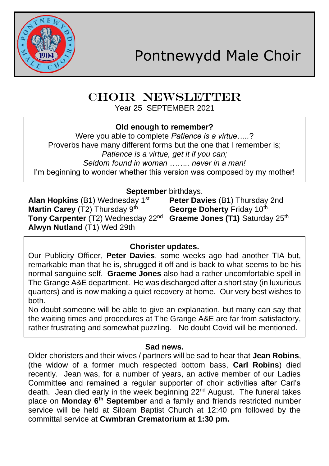

# CHOIR NEWSLETTER

Year 25 SEPTEMBER 2021

#### **Old enough to remember?**

Were you able to complete *Patience is a virtue…..*? Proverbs have many different forms but the one that I remember is; *Patience is a virtue, get it if you can; Seldom found in woman …….. never in a man!* I'm beginning to wonder whether this version was composed by my mother!

**September** birthdays.<br>**Alan Hopkins** (B1) Wednesday 1<sup>st</sup> Peter Day **Martin Carey** (T2) Thursday 9<sup>th</sup> **George Doherty** Friday 10<sup>th</sup> **Tony Carpenter** (T2) Wednesday 22<sup>nd</sup> Graeme Jones (T1) Saturday 25<sup>th</sup> **Alwyn Nutland** (T1) Wed 29th

**Peter Davies** (B1) Thursday 2nd

# **Chorister updates.**

Our Publicity Officer, **Peter Davies**, some weeks ago had another TIA but, remarkable man that he is, shrugged it off and is back to what seems to be his normal sanguine self. **Graeme Jones** also had a rather uncomfortable spell in The Grange A&E department. He was discharged after a short stay (in luxurious quarters) and is now making a quiet recovery at home. Our very best wishes to both.

No doubt someone will be able to give an explanation, but many can say that the waiting times and procedures at The Grange A&E are far from satisfactory, rather frustrating and somewhat puzzling. No doubt Covid will be mentioned.

### **Sad news.**

Older choristers and their wives / partners will be sad to hear that **Jean Robins**, (the widow of a former much respected bottom bass, **Carl Robins**) died recently. Jean was, for a number of years, an active member of our Ladies Committee and remained a regular supporter of choir activities after Carl's death. Jean died early in the week beginning 22<sup>nd</sup> August. The funeral takes place on **Monday 6th September** and a family and friends restricted number service will be held at Siloam Baptist Church at 12:40 pm followed by the committal service at **Cwmbran Crematorium at 1:30 pm.**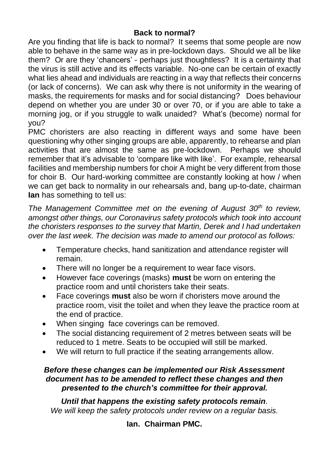#### **Back to normal?**

Are you finding that life is back to normal? It seems that some people are now able to behave in the same way as in pre-lockdown days. Should we all be like them? Or are they 'chancers' - perhaps just thoughtless? It is a certainty that the virus is still active and its effects variable. No-one can be certain of exactly what lies ahead and individuals are reacting in a way that reflects their concerns (or lack of concerns). We can ask why there is not uniformity in the wearing of masks, the requirements for masks and for social distancing? Does behaviour depend on whether you are under 30 or over 70, or if you are able to take a morning jog, or if you struggle to walk unaided? What's (become) normal for you?

PMC choristers are also reacting in different ways and some have been questioning why other singing groups are able, apparently, to rehearse and plan activities that are almost the same as pre-lockdown. Perhaps we should remember that it's advisable to 'compare like with like'. For example, rehearsal facilities and membership numbers for choir A might be very different from those for choir B. Our hard-working committee are constantly looking at how / when we can get back to normality in our rehearsals and, bang up-to-date, chairman **Ian** has something to tell us:

*The Management Committee met on the evening of August 30th to review, amongst other things, our Coronavirus safety protocols which took into account the choristers responses to the survey that Martin, Derek and I had undertaken over the last week. The decision was made to amend our protocol as follows:*

- Temperature checks, hand sanitization and attendance register will remain.
- There will no longer be a requirement to wear face visors.
- However face coverings (masks) **must** be worn on entering the practice room and until choristers take their seats.
- Face coverings **must** also be worn if choristers move around the practice room, visit the toilet and when they leave the practice room at the end of practice.
- When singing face coverings can be removed.
- The social distancing requirement of 2 metres between seats will be reduced to 1 metre. Seats to be occupied will still be marked.
- We will return to full practice if the seating arrangements allow.

#### *Before these changes can be implemented our Risk Assessment document has to be amended to reflect these changes and then presented to the church's committee for their approval.*

*Until that happens the existing safety protocols remain. We will keep the safety protocols under review on a regular basis.*

**Ian. Chairman PMC.**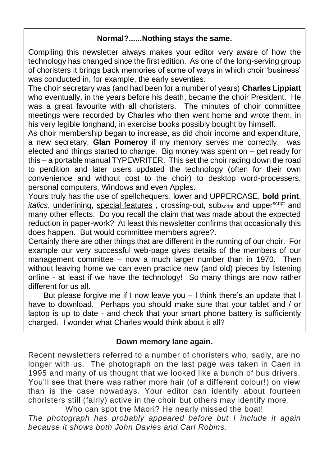#### **Normal?......Nothing stays the same.**

Compiling this newsletter always makes your editor very aware of how the technology has changed since the first edition. As one of the long-serving group of choristers it brings back memories of some of ways in which choir 'business' was conducted in, for example, the early seventies.

The choir secretary was (and had been for a number of years) **Charles Lippiatt** who eventually, in the years before his death, became the choir President. He was a great favourite with all choristers. The minutes of choir committee meetings were recorded by Charles who then went home and wrote them, in his very legible longhand, in exercise books possibly bought by himself.

As choir membership began to increase, as did choir income and expenditure, a new secretary, **Glan Pomeroy** if my memory serves me correctly, was elected and things started to change. Big money was spent on – get ready for this – a portable manual TYPEWRITER. This set the choir racing down the road to perdition and later users updated the technology (often for their own convenience and without cost to the choir) to desktop word-processers, personal computers, Windows and even Apples.

Yours truly has the use of spellchequers, lower and UPPERCASE, **bold print**, *italics*, underlining, special features, crossing-out, subscript and upperscript and many other effects. Do you recall the claim that was made about the expected reduction in paper-work? At least this newsletter confirms that occasionally this does happen. But would committee members agree?.

Certainly there are other things that are different in the running of our choir. For example our very successful web-page gives details of the members of our management committee – now a much larger number than in 1970. Then without leaving home we can even practice new (and old) pieces by listening online - at least if we have the technology! So many things are now rather different for us all.

 But please forgive me if I now leave you – I think there's an update that I have to download. Perhaps you should make sure that your tablet and / or laptop is up to date - and check that your smart phone battery is sufficiently charged. I wonder what Charles would think about it all?

#### **Down memory lane again.**

Recent newsletters referred to a number of choristers who, sadly, are no longer with us. The photograph on the last page was taken in Caen in 1995 and many of us thought that we looked like a bunch of bus drivers. You'll see that there was rather more hair (of a different colour!) on view than is the case nowadays. Your editor can identify about fourteen choristers still (fairly) active in the choir but others may identify more.

Who can spot the Maori? He nearly missed the boat! *The photograph has probably appeared before but I include it again because it shows both John Davies and Carl Robins.*